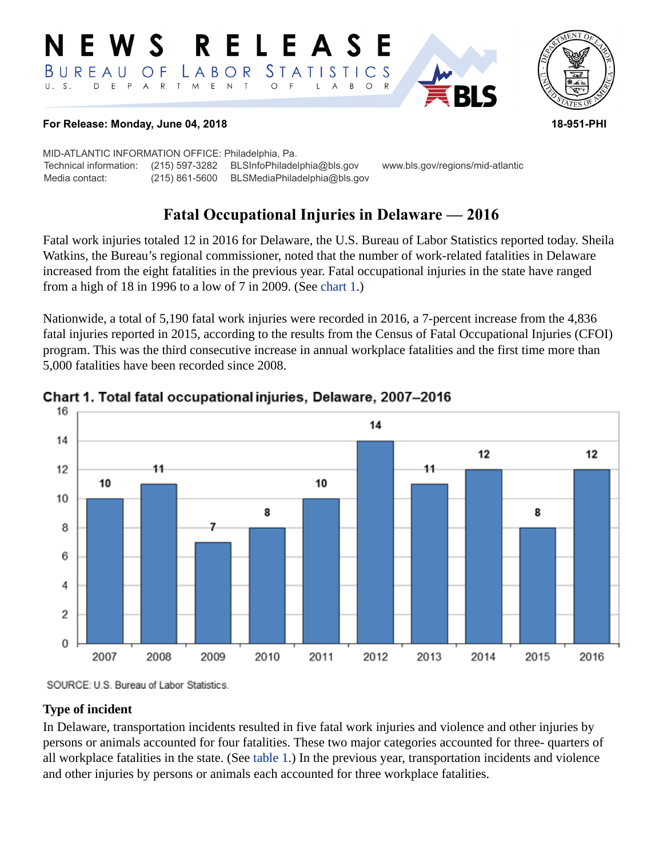#### RELEASE E W S *STATISTICS* LABOR BUREAU  $\overline{O}$  F D E P A R T M E N T  $\circ$  $U. S.$  $\overline{F}$ L  $\overline{A}$  $B$  $\circ$



#### **For Release: Monday, June 04, 2018 18-951-PHI**

MID-ATLANTIC INFORMATION OFFICE: Philadelphia, Pa. Technical information: (215) 597-3282 BLSInfoPhiladelphia@bls.gov www.bls.gov/regions/mid-atlantic Media contact: (215) 861-5600 BLSMediaPhiladelphia@bls.gov

# **Fatal Occupational Injuries in Delaware — 2016**

Fatal work injuries totaled 12 in 2016 for Delaware, the U.S. Bureau of Labor Statistics reported today. Sheila Watkins, the Bureau's regional commissioner, noted that the number of work-related fatalities in Delaware increased from the eight fatalities in the previous year. Fatal occupational injuries in the state have ranged from a high of 18 in 1996 to a low of 7 in 2009. (See [chart 1](#page-0-0).)

Nationwide, a total of 5,190 fatal work injuries were recorded in 2016, a 7-percent increase from the 4,836 fatal injuries reported in 2015, according to the results from the Census of Fatal Occupational Injuries (CFOI) program. This was the third consecutive increase in annual workplace fatalities and the first time more than 5,000 fatalities have been recorded since 2008.



#### <span id="page-0-0"></span>Chart 1. Total fatal occupational injuries, Delaware, 2007-2016

SOURCE: U.S. Bureau of Labor Statistics.

#### **Type of incident**

In Delaware, transportation incidents resulted in five fatal work injuries and violence and other injuries by persons or animals accounted for four fatalities. These two major categories accounted for three- quarters of all workplace fatalities in the state. (See [table 1](#page-3-0).) In the previous year, transportation incidents and violence and other injuries by persons or animals each accounted for three workplace fatalities.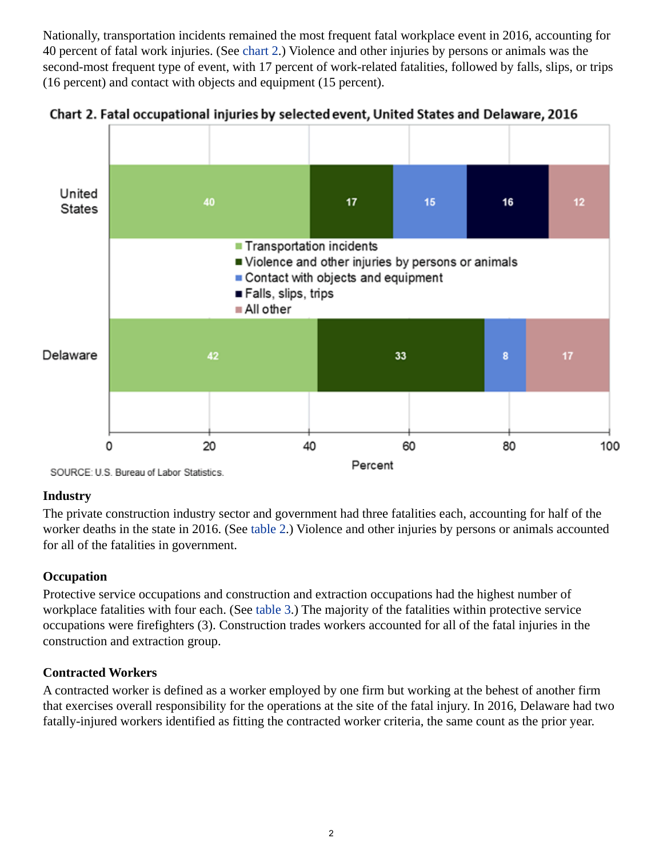Nationally, transportation incidents remained the most frequent fatal workplace event in 2016, accounting for 40 percent of fatal work injuries. (See [chart 2](#page-1-0).) Violence and other injuries by persons or animals was the second-most frequent type of event, with 17 percent of work-related fatalities, followed by falls, slips, or trips (16 percent) and contact with objects and equipment (15 percent).



<span id="page-1-0"></span>

## **Industry**

The private construction industry sector and government had three fatalities each, accounting for half of the worker deaths in the state in 2016. (See [table 2](#page-4-0).) Violence and other injuries by persons or animals accounted for all of the fatalities in government.

## **Occupation**

Protective service occupations and construction and extraction occupations had the highest number of workplace fatalities with four each. (See [table 3.](#page-5-0)) The majority of the fatalities within protective service occupations were firefighters (3). Construction trades workers accounted for all of the fatal injuries in the construction and extraction group.

## **Contracted Workers**

A contracted worker is defined as a worker employed by one firm but working at the behest of another firm that exercises overall responsibility for the operations at the site of the fatal injury. In 2016, Delaware had two fatally-injured workers identified as fitting the contracted worker criteria, the same count as the prior year.

SOURCE: U.S. Bureau of Labor Statistics.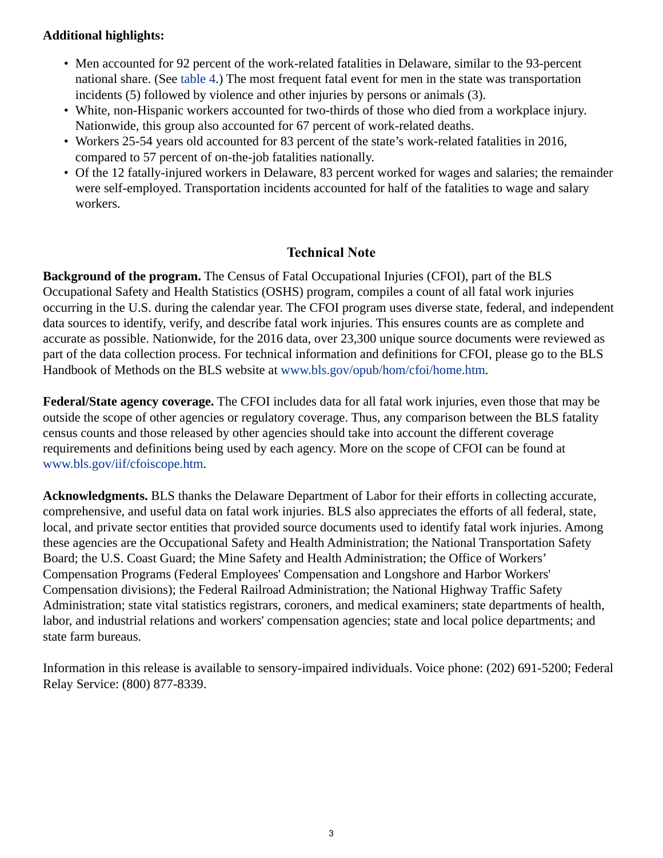## **Additional highlights:**

- Men accounted for 92 percent of the work-related fatalities in Delaware, similar to the 93-percent national share. (See [table 4](#page-6-0).) The most frequent fatal event for men in the state was transportation incidents (5) followed by violence and other injuries by persons or animals (3).
- White, non-Hispanic workers accounted for two-thirds of those who died from a workplace injury. Nationwide, this group also accounted for 67 percent of work-related deaths.
- Workers 25-54 years old accounted for 83 percent of the state's work-related fatalities in 2016, compared to 57 percent of on-the-job fatalities nationally.
- Of the 12 fatally-injured workers in Delaware, 83 percent worked for wages and salaries; the remainder were self-employed. Transportation incidents accounted for half of the fatalities to wage and salary workers.

### **Technical Note**

**Background of the program.** The Census of Fatal Occupational Injuries (CFOI), part of the BLS Occupational Safety and Health Statistics (OSHS) program, compiles a count of all fatal work injuries occurring in the U.S. during the calendar year. The CFOI program uses diverse state, federal, and independent data sources to identify, verify, and describe fatal work injuries. This ensures counts are as complete and accurate as possible. Nationwide, for the 2016 data, over 23,300 unique source documents were reviewed as part of the data collection process. For technical information and definitions for CFOI, please go to the BLS Handbook of Methods on the BLS website at [www.bls.gov/opub/hom/cfoi/home.htm](https://www.bls.gov/opub/hom/cfoi/home.htm).

**Federal/State agency coverage.** The CFOI includes data for all fatal work injuries, even those that may be outside the scope of other agencies or regulatory coverage. Thus, any comparison between the BLS fatality census counts and those released by other agencies should take into account the different coverage requirements and definitions being used by each agency. More on the scope of CFOI can be found at [www.bls.gov/iif/cfoiscope.htm.](https://www.bls.gov/iif/cfoiscope.htm)

**Acknowledgments.** BLS thanks the Delaware Department of Labor for their efforts in collecting accurate, comprehensive, and useful data on fatal work injuries. BLS also appreciates the efforts of all federal, state, local, and private sector entities that provided source documents used to identify fatal work injuries. Among these agencies are the Occupational Safety and Health Administration; the National Transportation Safety Board; the U.S. Coast Guard; the Mine Safety and Health Administration; the Office of Workers' Compensation Programs (Federal Employees' Compensation and Longshore and Harbor Workers' Compensation divisions); the Federal Railroad Administration; the National Highway Traffic Safety Administration; state vital statistics registrars, coroners, and medical examiners; state departments of health, labor, and industrial relations and workers' compensation agencies; state and local police departments; and state farm bureaus.

Information in this release is available to sensory-impaired individuals. Voice phone: (202) 691-5200; Federal Relay Service: (800) 877-8339.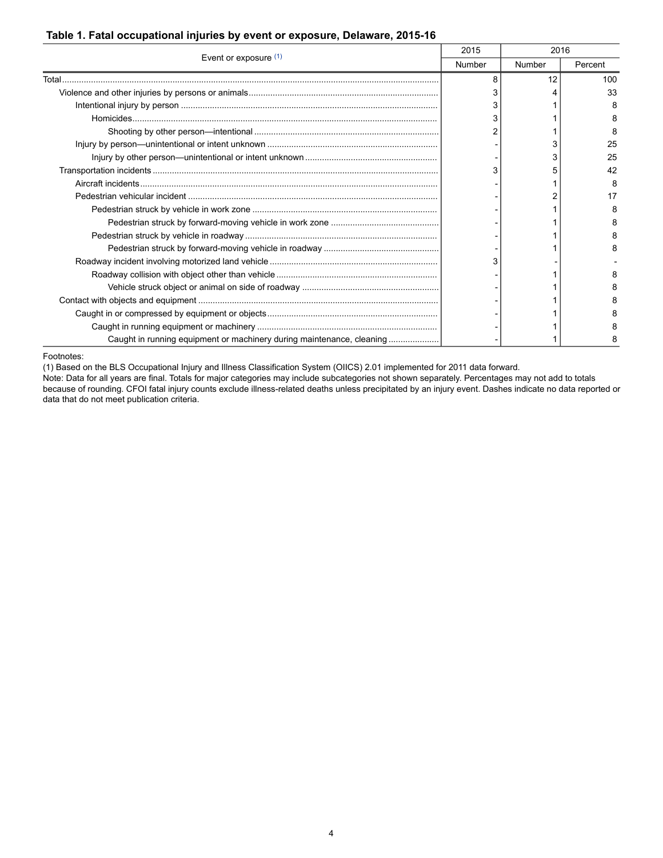#### <span id="page-3-0"></span>**Table 1. Fatal occupational injuries by event or exposure, Delaware, 2015-16**

| Event or exposure (1)                                                 | 2015   | 2016   |         |
|-----------------------------------------------------------------------|--------|--------|---------|
|                                                                       | Number | Number | Percent |
| Total                                                                 | 8      | 12     | 100     |
|                                                                       |        |        | 33      |
|                                                                       |        |        | 8       |
|                                                                       |        |        | 8       |
|                                                                       |        |        | 8       |
|                                                                       |        |        | 25      |
|                                                                       |        | 3      | 25      |
|                                                                       |        |        | 42      |
|                                                                       |        |        | 8       |
|                                                                       |        |        | 17      |
|                                                                       |        |        |         |
|                                                                       |        |        | 8       |
|                                                                       |        |        | 8       |
|                                                                       |        |        | я       |
|                                                                       |        |        |         |
|                                                                       |        |        |         |
|                                                                       |        |        |         |
|                                                                       |        |        |         |
|                                                                       |        |        |         |
|                                                                       |        |        |         |
| Caught in running equipment or machinery during maintenance, cleaning |        |        | 8       |

<span id="page-3-1"></span>Footnotes:

(1) Based on the BLS Occupational Injury and Illness Classification System (OIICS) 2.01 implemented for 2011 data forward.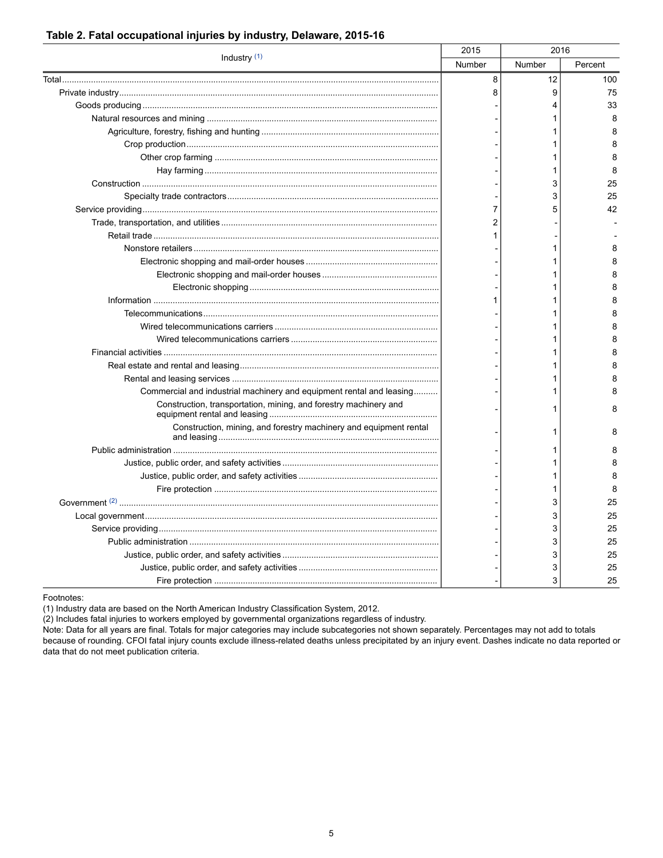| Industry (1)                                                         | 2015   | 2016   |         |
|----------------------------------------------------------------------|--------|--------|---------|
|                                                                      | Number | Number | Percent |
|                                                                      | 8      | 12     | 100     |
|                                                                      | 8      | 9      | 75      |
|                                                                      |        | 4      | 33      |
|                                                                      |        |        | 8       |
|                                                                      |        |        | 8       |
|                                                                      |        | 1      | 8       |
|                                                                      |        | 1      | 8       |
|                                                                      |        | 1      | 8       |
|                                                                      |        | 3      | 25      |
|                                                                      |        | 3      | 25      |
|                                                                      | 7      | 5      | 42      |
|                                                                      | 2      |        |         |
|                                                                      |        |        |         |
|                                                                      |        | 1      | 8       |
|                                                                      |        | 1      | 8       |
|                                                                      |        | 1      | 8       |
|                                                                      |        | 1      | 8       |
|                                                                      |        | 1      | 8       |
|                                                                      |        |        | 8       |
|                                                                      |        | 1      | 8       |
|                                                                      |        | 1      | 8       |
|                                                                      |        | 1      | 8       |
|                                                                      |        | 1      | 8       |
|                                                                      |        | 1      | 8       |
| Commercial and industrial machinery and equipment rental and leasing |        | 1      | 8       |
| Construction, transportation, mining, and forestry machinery and     |        | 1      | 8       |
| Construction, mining, and forestry machinery and equipment rental    |        | 1      | 8       |
|                                                                      |        |        | 8       |
|                                                                      |        | 1      | 8       |
|                                                                      |        | 1      | 8       |
|                                                                      |        | 1      | 8       |
|                                                                      |        | 3      | 25      |
|                                                                      |        | 3      | 25      |
|                                                                      |        | 3      | 25      |
|                                                                      |        | 3      | 25      |
|                                                                      |        | 3      | 25      |
|                                                                      |        | 3      | 25      |
|                                                                      |        | 3      | 25      |

### <span id="page-4-0"></span>**Table 2. Fatal occupational injuries by industry, Delaware, 2015-16**

<span id="page-4-1"></span>Footnotes:

(1) Industry data are based on the North American Industry Classification System, 2012.

(2) Includes fatal injuries to workers employed by governmental organizations regardless of industry.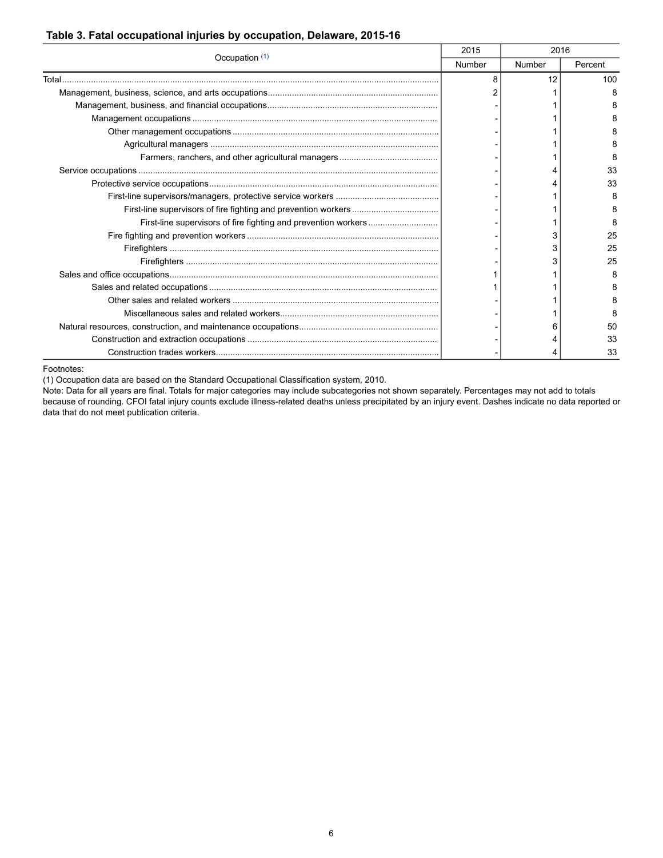| Occupation (1) | 2015   | 2016   |         |
|----------------|--------|--------|---------|
|                | Number | Number | Percent |
| Total.         | 8      | 12     | 100     |
|                |        |        |         |
|                |        |        |         |
|                |        |        |         |
|                |        |        |         |
|                |        |        |         |
|                |        |        |         |
|                |        |        | 33      |
|                |        |        | 33      |
|                |        |        | 8       |
|                |        |        |         |
|                |        |        |         |
|                |        |        | 25      |
|                |        |        | 25      |
|                |        |        | 25      |
|                |        |        |         |
|                |        |        |         |
|                |        |        |         |
|                |        |        |         |
|                |        |        | 50      |
|                |        |        | 33      |
|                |        |        | 33      |

#### <span id="page-5-0"></span>**Table 3. Fatal occupational injuries by occupation, Delaware, 2015-16**

<span id="page-5-1"></span>Footnotes:

(1) Occupation data are based on the Standard Occupational Classification system, 2010.